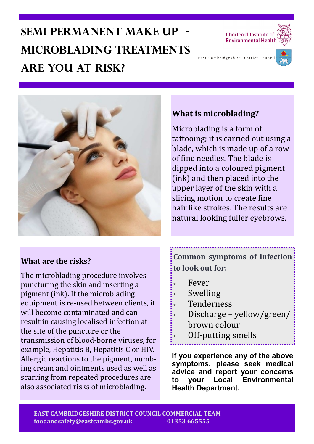# **Semi permanent make up microblading treatments Are you at risk?**





### **What are the risks?**

The microblading procedure involves puncturing the skin and inserting a pigment (ink). If the microblading equipment is re-used between clients, it will become contaminated and can result in causing localised infection at the site of the puncture or the transmission of blood-borne viruses, for example, Hepatitis B, Hepatitis C or HIV. Allergic reactions to the pigment, numbing cream and ointments used as well as scarring from repeated procedures are also associated risks of microblading.

## **What is microblading?**

Microblading is a form of tattooing; it is carried out using a blade, which is made up of a row of fine needles. The blade is dipped into a coloured pigment (ink) and then placed into the upper layer of the skin with a slicing motion to create fine hair like strokes. The results are natural looking fuller eyebrows.

**Common symptoms of infection to look out for:**

- Fever
- Swelling
- Tenderness
- Discharge yellow/green/ brown colour
	- Off-putting smells

**If you experience any of the above symptoms, please seek medical advice and report your concerns to your Local Environmental Health Department.**